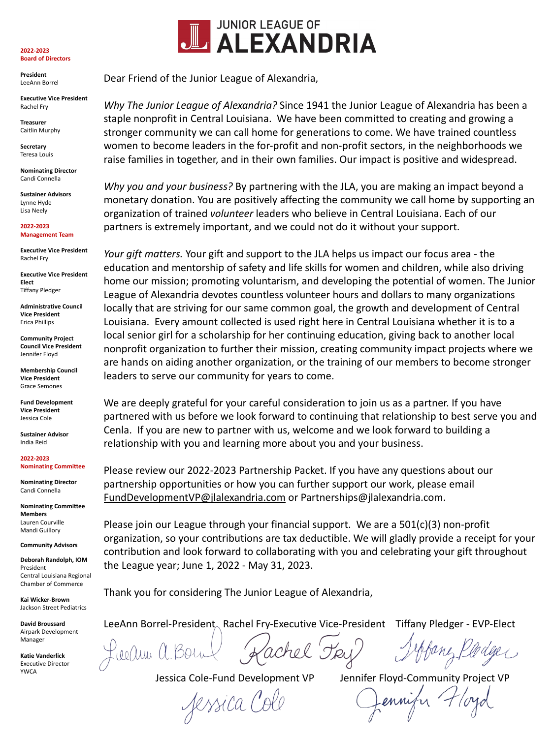## **2022-2023 Board of Directors**

**President** LeeAnn Borrel

**Executive Vice President** Rachel Fry

**Treasurer** Caitlin Murphy

**Secretary** Teresa Louis

**Nominating Director** Candi Connella

**Sustainer Advisors** Lynne Hyde Lisa Neely

**2022-2023 Management Team**

**Executive Vice President** Rachel Fry

**Executive Vice President Elect** Tiffany Pledger

**Administrative Council Vice President** Erica Phillips

**Community Project Council Vice President** Jennifer Floyd

**Membership Council Vice President** Grace Semones

**Fund Development Vice President** Jessica Cole

**Sustainer Advisor** India Reid

**2022-2023 Nominating Committee**

**Nominating Director** Candi Connella

**Nominating Committee Members** Lauren Courville Mandi Guillory

**Community Advisors**

**Deborah Randolph, IOM** President Central Louisiana Regional Chamber of Commerce

**Kai Wicker-Brown** Jackson Street Pediatrics

**David Broussard**  Airpark Development Manager

**Katie Vanderlick** Executive Director YWCA



Dear Friend of the Junior League of Alexandria,

*Why The Junior League of Alexandria?* Since 1941 the Junior League of Alexandria has been a staple nonprofit in Central Louisiana. We have been committed to creating and growing a stronger community we can call home for generations to come. We have trained countless women to become leaders in the for-profit and non-profit sectors, in the neighborhoods we raise families in together, and in their own families. Our impact is positive and widespread.

*Why you and your business?* By partnering with the JLA, you are making an impact beyond a monetary donation. You are positively affecting the community we call home by supporting an organization of trained *volunteer* leaders who believe in Central Louisiana. Each of our partners is extremely important, and we could not do it without your support.

*Your gift matters.* Your gift and support to the JLA helps us impact our focus area - the education and mentorship of safety and life skills for women and children, while also driving home our mission; promoting voluntarism, and developing the potential of women. The Junior League of Alexandria devotes countless volunteer hours and dollars to many organizations locally that are striving for our same common goal, the growth and development of Central Louisiana. Every amount collected is used right here in Central Louisiana whether it is to a local senior girl for a scholarship for her continuing education, giving back to another local nonprofit organization to further their mission, creating community impact projects where we are hands on aiding another organization, or the training of our members to become stronger leaders to serve our community for years to come.

We are deeply grateful for your careful consideration to join us as a partner. If you have partnered with us before we look forward to continuing that relationship to best serve you and Cenla. If you are new to partner with us, welcome and we look forward to building a relationship with you and learning more about you and your business.

Please review our 2022-2023 Partnership Packet. If you have any questions about our partnership opportunities or how you can further support our work, please email [FundDevelopmentVP@jlalexandria.com](mailto:FundDevelopmentVP@jlalexandria.com) or Partnerships@jlalexandria.com.

Please join our League through your financial support. We are a 501(c)(3) non-profit organization, so your contributions are tax deductible. We will gladly provide a receipt for your contribution and look forward to collaborating with you and celebrating your gift throughout the League year; June 1, 2022 - May 31, 2023.

Thank you for considering The Junior League of Alexandria,

LeeAnn Borrel-President Rachel Fry-Executive Vice-President Tiffany Pledger - EVP-Elect

Keeluu U

Jessica Col

Jessica Cole-Fund Development VP Jennifer Floyd-Community Project VP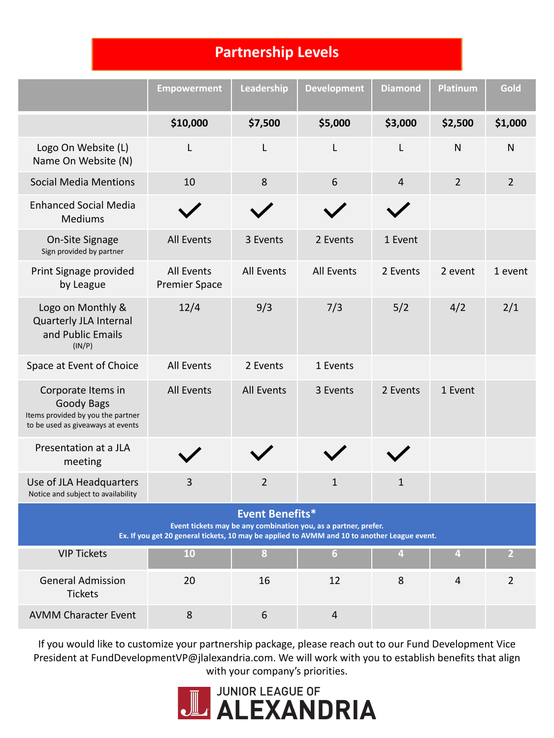## **Partnership Levels**

|                                                                                                                                                                                           | <b>Empowerment</b>                 | Leadership        | <b>Development</b> | <b>Diamond</b> | <b>Platinum</b> | Gold           |  |  |
|-------------------------------------------------------------------------------------------------------------------------------------------------------------------------------------------|------------------------------------|-------------------|--------------------|----------------|-----------------|----------------|--|--|
|                                                                                                                                                                                           | \$10,000                           | \$7,500           | \$5,000            | \$3,000        | \$2,500         | \$1,000        |  |  |
| Logo On Website (L)<br>Name On Website (N)                                                                                                                                                | L                                  | L                 | L                  | L              | N               | $\mathsf{N}$   |  |  |
| <b>Social Media Mentions</b>                                                                                                                                                              | 10                                 | 8                 | 6                  | 4              | $\overline{2}$  | $\overline{2}$ |  |  |
| <b>Enhanced Social Media</b><br><b>Mediums</b>                                                                                                                                            |                                    |                   |                    |                |                 |                |  |  |
| On-Site Signage<br>Sign provided by partner                                                                                                                                               | <b>All Events</b>                  | 3 Events          | 2 Events           | 1 Event        |                 |                |  |  |
| Print Signage provided<br>by League                                                                                                                                                       | All Events<br><b>Premier Space</b> | <b>All Events</b> | All Events         | 2 Events       | 2 event         | 1 event        |  |  |
| Logo on Monthly &<br>Quarterly JLA Internal<br>and Public Emails<br>(IN/P)                                                                                                                | 12/4                               | 9/3               | 7/3                | 5/2            | 4/2             | 2/1            |  |  |
| Space at Event of Choice                                                                                                                                                                  | All Events                         | 2 Events          | 1 Events           |                |                 |                |  |  |
| Corporate Items in<br>Goody Bags<br>Items provided by you the partner<br>to be used as giveaways at events                                                                                | All Events                         | <b>All Events</b> | 3 Events           | 2 Events       | 1 Event         |                |  |  |
| Presentation at a JLA<br>meeting                                                                                                                                                          |                                    |                   |                    |                |                 |                |  |  |
| Use of JLA Headquarters<br>Notice and subject to availability                                                                                                                             | 3                                  | $\overline{2}$    | $\mathbf{1}$       | $\mathbf{1}$   |                 |                |  |  |
| <b>Event Benefits*</b><br>Event tickets may be any combination you, as a partner, prefer.<br>Ex. If you get 20 general tickets, 10 may be applied to AVMM and 10 to another League event. |                                    |                   |                    |                |                 |                |  |  |
| <b>VIP Tickets</b>                                                                                                                                                                        | 10                                 | 8                 | 6 <sup>1</sup>     | $\overline{4}$ | $\overline{4}$  | 2 <sup>1</sup> |  |  |
| <b>General Admission</b><br><b>Tickets</b>                                                                                                                                                | 20                                 | 16                | 12                 | 8              | $\overline{4}$  | $\overline{2}$ |  |  |
| <b>AVMM Character Event</b>                                                                                                                                                               | $\,8\,$                            | $\sqrt{6}$        | $\overline{4}$     |                |                 |                |  |  |

If you would like to customize your partnership package, please reach out to our Fund Development Vice President at FundDevelopmentVP@jlalexandria.com. We will work with you to establish benefits that align with your company's priorities.

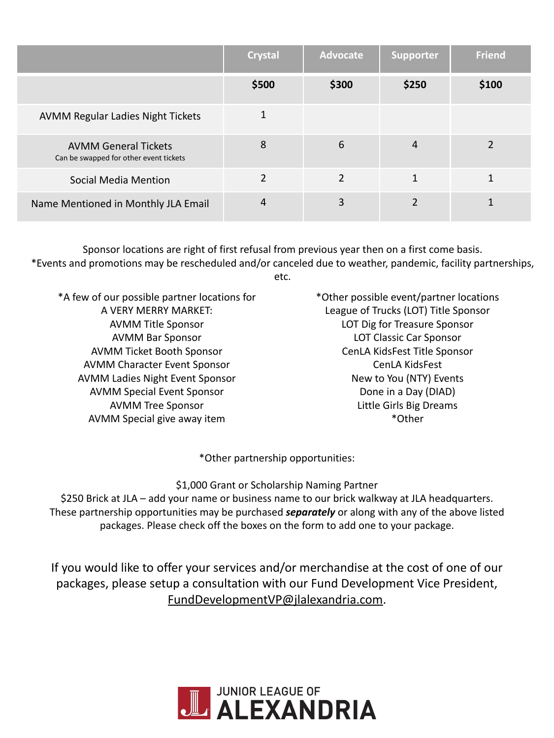|                                                                       | <b>Crystal</b> | <b>Advocate</b> | <b>Supporter</b> | <b>Friend</b> |
|-----------------------------------------------------------------------|----------------|-----------------|------------------|---------------|
|                                                                       | \$500          | \$300           | \$250            | \$100         |
| <b>AVMM Regular Ladies Night Tickets</b>                              |                |                 |                  |               |
| <b>AVMM General Tickets</b><br>Can be swapped for other event tickets | 8              | 6               | 4                |               |
| Social Media Mention                                                  | $\overline{2}$ | $\overline{2}$  | 1                |               |
| Name Mentioned in Monthly JLA Email                                   | 4              | 3               | <u>ີ</u>         |               |

Sponsor locations are right of first refusal from previous year then on a first come basis. \*Events and promotions may be rescheduled and/or canceled due to weather, pandemic, facility partnerships, etc.

\*A few of our possible partner locations for A VERY MERRY MARKET: AVMM Title Sponsor AVMM Bar Sponsor AVMM Ticket Booth Sponsor AVMM Character Event Sponsor AVMM Ladies Night Event Sponsor AVMM Special Event Sponsor AVMM Tree Sponsor AVMM Special give away item

\*Other possible event/partner locations League of Trucks (LOT) Title Sponsor LOT Dig for Treasure Sponsor LOT Classic Car Sponsor CenLA KidsFest Title Sponsor CenLA KidsFest New to You (NTY) Events Done in a Day (DIAD) Little Girls Big Dreams \*Other

\*Other partnership opportunities:

\$1,000 Grant or Scholarship Naming Partner \$250 Brick at JLA – add your name or business name to our brick walkway at JLA headquarters. These partnership opportunities may be purchased *separately* or along with any of the above listed packages. Please check off the boxes on the form to add one to your package.

If you would like to offer your services and/or merchandise at the cost of one of our packages, please setup a consultation with our Fund Development Vice President, [FundDevelopmentVP@jlalexandria.com](mailto:FunddevelopmentVP@jlalexandria.com).